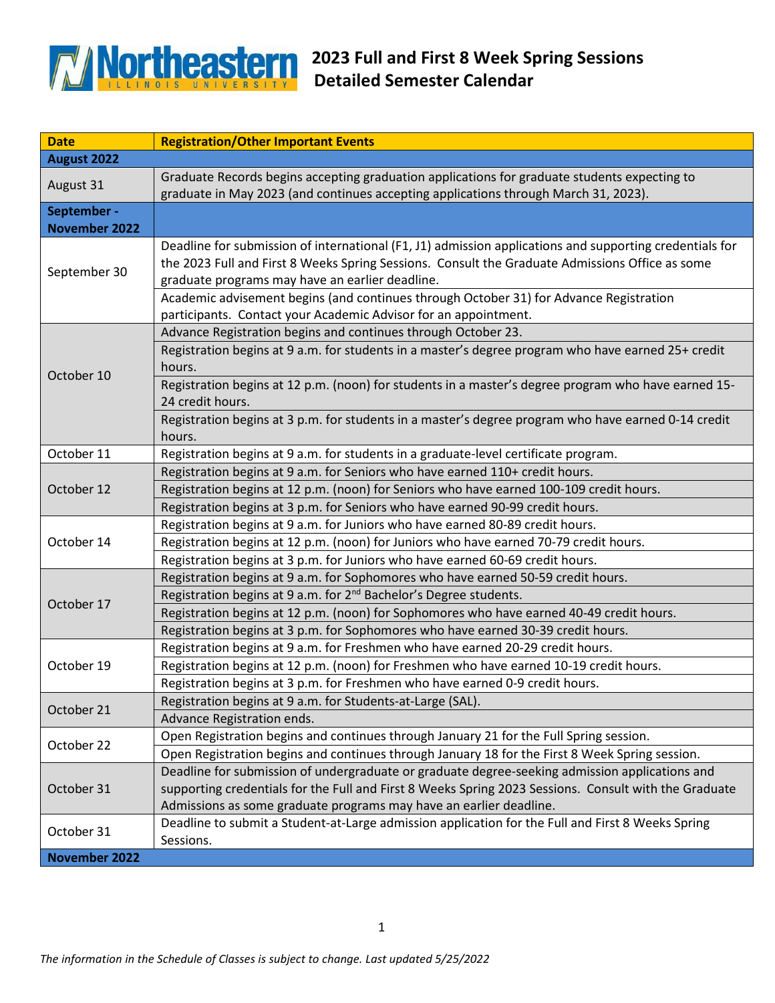

| <b>Date</b>   | <b>Registration/Other Important Events</b>                                                                                                                                                                                                                    |
|---------------|---------------------------------------------------------------------------------------------------------------------------------------------------------------------------------------------------------------------------------------------------------------|
| August 2022   |                                                                                                                                                                                                                                                               |
| August 31     | Graduate Records begins accepting graduation applications for graduate students expecting to<br>graduate in May 2023 (and continues accepting applications through March 31, 2023).                                                                           |
| September -   |                                                                                                                                                                                                                                                               |
| November 2022 |                                                                                                                                                                                                                                                               |
| September 30  | Deadline for submission of international (F1, J1) admission applications and supporting credentials for<br>the 2023 Full and First 8 Weeks Spring Sessions. Consult the Graduate Admissions Office as some<br>graduate programs may have an earlier deadline. |
|               | Academic advisement begins (and continues through October 31) for Advance Registration<br>participants. Contact your Academic Advisor for an appointment.                                                                                                     |
| October 10    | Advance Registration begins and continues through October 23.                                                                                                                                                                                                 |
|               | Registration begins at 9 a.m. for students in a master's degree program who have earned 25+ credit<br>hours.                                                                                                                                                  |
|               | Registration begins at 12 p.m. (noon) for students in a master's degree program who have earned 15-<br>24 credit hours.                                                                                                                                       |
|               | Registration begins at 3 p.m. for students in a master's degree program who have earned 0-14 credit<br>hours.                                                                                                                                                 |
| October 11    | Registration begins at 9 a.m. for students in a graduate-level certificate program.                                                                                                                                                                           |
|               | Registration begins at 9 a.m. for Seniors who have earned 110+ credit hours.                                                                                                                                                                                  |
| October 12    | Registration begins at 12 p.m. (noon) for Seniors who have earned 100-109 credit hours.                                                                                                                                                                       |
|               | Registration begins at 3 p.m. for Seniors who have earned 90-99 credit hours.                                                                                                                                                                                 |
|               | Registration begins at 9 a.m. for Juniors who have earned 80-89 credit hours.                                                                                                                                                                                 |
| October 14    | Registration begins at 12 p.m. (noon) for Juniors who have earned 70-79 credit hours.                                                                                                                                                                         |
|               | Registration begins at 3 p.m. for Juniors who have earned 60-69 credit hours.                                                                                                                                                                                 |
|               | Registration begins at 9 a.m. for Sophomores who have earned 50-59 credit hours.                                                                                                                                                                              |
| October 17    | Registration begins at 9 a.m. for 2 <sup>nd</sup> Bachelor's Degree students.                                                                                                                                                                                 |
|               | Registration begins at 12 p.m. (noon) for Sophomores who have earned 40-49 credit hours.                                                                                                                                                                      |
|               | Registration begins at 3 p.m. for Sophomores who have earned 30-39 credit hours.                                                                                                                                                                              |
| October 19    | Registration begins at 9 a.m. for Freshmen who have earned 20-29 credit hours.                                                                                                                                                                                |
|               | Registration begins at 12 p.m. (noon) for Freshmen who have earned 10-19 credit hours.                                                                                                                                                                        |
|               | Registration begins at 3 p.m. for Freshmen who have earned 0-9 credit hours.                                                                                                                                                                                  |
| October 21    | Registration begins at 9 a.m. for Students-at-Large (SAL).                                                                                                                                                                                                    |
|               | Advance Registration ends.                                                                                                                                                                                                                                    |
| October 22    | Open Registration begins and continues through January 21 for the Full Spring session.                                                                                                                                                                        |
|               | Open Registration begins and continues through January 18 for the First 8 Week Spring session.                                                                                                                                                                |
| October 31    | Deadline for submission of undergraduate or graduate degree-seeking admission applications and                                                                                                                                                                |
|               | supporting credentials for the Full and First 8 Weeks Spring 2023 Sessions. Consult with the Graduate                                                                                                                                                         |
|               | Admissions as some graduate programs may have an earlier deadline.                                                                                                                                                                                            |
| October 31    | Deadline to submit a Student-at-Large admission application for the Full and First 8 Weeks Spring<br>Sessions.                                                                                                                                                |
| November 2022 |                                                                                                                                                                                                                                                               |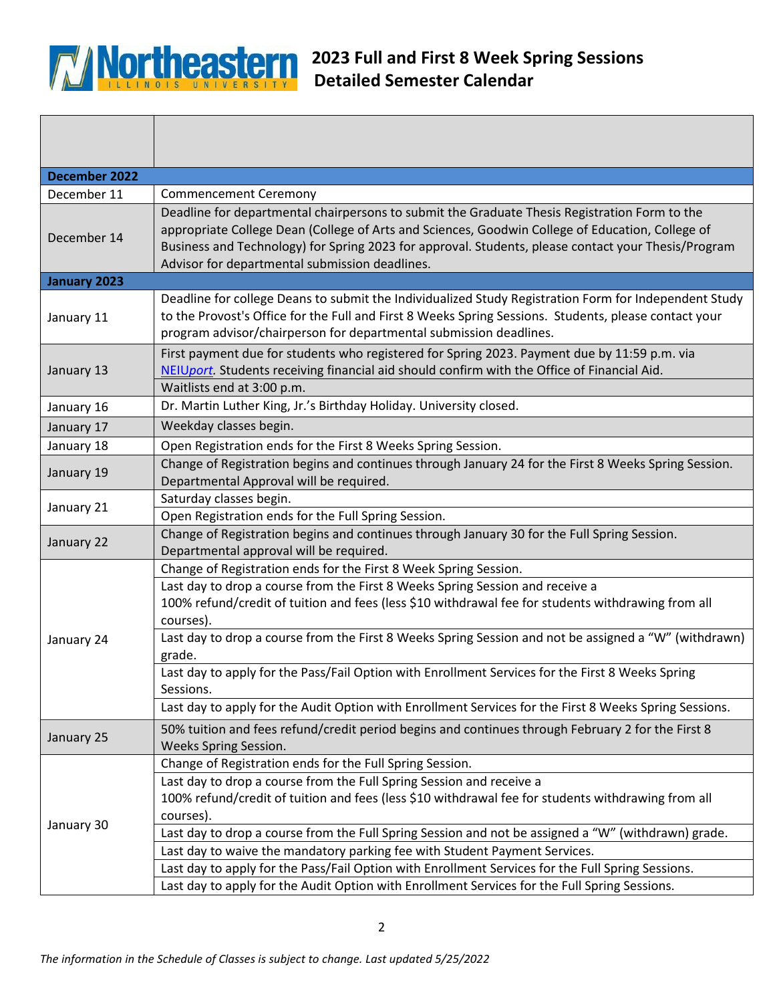

| December 2022 |                                                                                                                                                                                                                                                                                                                                                            |
|---------------|------------------------------------------------------------------------------------------------------------------------------------------------------------------------------------------------------------------------------------------------------------------------------------------------------------------------------------------------------------|
| December 11   | <b>Commencement Ceremony</b>                                                                                                                                                                                                                                                                                                                               |
| December 14   | Deadline for departmental chairpersons to submit the Graduate Thesis Registration Form to the<br>appropriate College Dean (College of Arts and Sciences, Goodwin College of Education, College of<br>Business and Technology) for Spring 2023 for approval. Students, please contact your Thesis/Program<br>Advisor for departmental submission deadlines. |
| January 2023  |                                                                                                                                                                                                                                                                                                                                                            |
| January 11    | Deadline for college Deans to submit the Individualized Study Registration Form for Independent Study<br>to the Provost's Office for the Full and First 8 Weeks Spring Sessions. Students, please contact your<br>program advisor/chairperson for departmental submission deadlines.                                                                       |
| January 13    | First payment due for students who registered for Spring 2023. Payment due by 11:59 p.m. via<br>NEIUport. Students receiving financial aid should confirm with the Office of Financial Aid.                                                                                                                                                                |
|               | Waitlists end at 3:00 p.m.<br>Dr. Martin Luther King, Jr.'s Birthday Holiday. University closed.                                                                                                                                                                                                                                                           |
| January 16    |                                                                                                                                                                                                                                                                                                                                                            |
| January 17    | Weekday classes begin.                                                                                                                                                                                                                                                                                                                                     |
| January 18    | Open Registration ends for the First 8 Weeks Spring Session.                                                                                                                                                                                                                                                                                               |
| January 19    | Change of Registration begins and continues through January 24 for the First 8 Weeks Spring Session.<br>Departmental Approval will be required.                                                                                                                                                                                                            |
| January 21    | Saturday classes begin.                                                                                                                                                                                                                                                                                                                                    |
|               | Open Registration ends for the Full Spring Session.                                                                                                                                                                                                                                                                                                        |
| January 22    | Change of Registration begins and continues through January 30 for the Full Spring Session.<br>Departmental approval will be required.                                                                                                                                                                                                                     |
|               | Change of Registration ends for the First 8 Week Spring Session.                                                                                                                                                                                                                                                                                           |
|               | Last day to drop a course from the First 8 Weeks Spring Session and receive a                                                                                                                                                                                                                                                                              |
|               | 100% refund/credit of tuition and fees (less \$10 withdrawal fee for students withdrawing from all<br>courses).                                                                                                                                                                                                                                            |
| January 24    | Last day to drop a course from the First 8 Weeks Spring Session and not be assigned a "W" (withdrawn)<br>grade.                                                                                                                                                                                                                                            |
|               | Last day to apply for the Pass/Fail Option with Enrollment Services for the First 8 Weeks Spring<br>Sessions.                                                                                                                                                                                                                                              |
|               | Last day to apply for the Audit Option with Enrollment Services for the First 8 Weeks Spring Sessions.                                                                                                                                                                                                                                                     |
| January 25    | 50% tuition and fees refund/credit period begins and continues through February 2 for the First 8<br>Weeks Spring Session.                                                                                                                                                                                                                                 |
| January 30    | Change of Registration ends for the Full Spring Session.                                                                                                                                                                                                                                                                                                   |
|               | Last day to drop a course from the Full Spring Session and receive a                                                                                                                                                                                                                                                                                       |
|               | 100% refund/credit of tuition and fees (less \$10 withdrawal fee for students withdrawing from all                                                                                                                                                                                                                                                         |
|               | courses).                                                                                                                                                                                                                                                                                                                                                  |
|               | Last day to drop a course from the Full Spring Session and not be assigned a "W" (withdrawn) grade.                                                                                                                                                                                                                                                        |
|               | Last day to waive the mandatory parking fee with Student Payment Services.                                                                                                                                                                                                                                                                                 |
|               | Last day to apply for the Pass/Fail Option with Enrollment Services for the Full Spring Sessions.                                                                                                                                                                                                                                                          |
|               | Last day to apply for the Audit Option with Enrollment Services for the Full Spring Sessions.                                                                                                                                                                                                                                                              |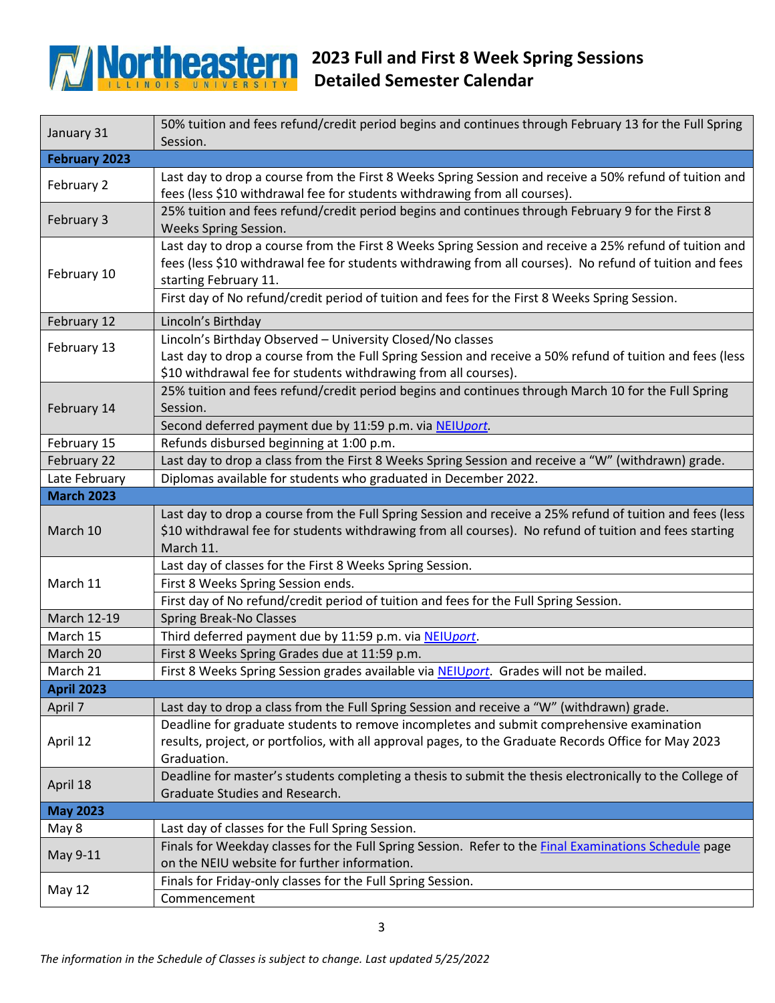| January 31           | 50% tuition and fees refund/credit period begins and continues through February 13 for the Full Spring<br>Session.  |
|----------------------|---------------------------------------------------------------------------------------------------------------------|
| <b>February 2023</b> |                                                                                                                     |
|                      | Last day to drop a course from the First 8 Weeks Spring Session and receive a 50% refund of tuition and             |
| February 2           | fees (less \$10 withdrawal fee for students withdrawing from all courses).                                          |
| February 3           | 25% tuition and fees refund/credit period begins and continues through February 9 for the First 8                   |
|                      | Weeks Spring Session.                                                                                               |
| February 10          | Last day to drop a course from the First 8 Weeks Spring Session and receive a 25% refund of tuition and             |
|                      | fees (less \$10 withdrawal fee for students withdrawing from all courses). No refund of tuition and fees            |
|                      | starting February 11.                                                                                               |
|                      | First day of No refund/credit period of tuition and fees for the First 8 Weeks Spring Session.                      |
| February 12          | Lincoln's Birthday                                                                                                  |
| February 13          | Lincoln's Birthday Observed - University Closed/No classes                                                          |
|                      | Last day to drop a course from the Full Spring Session and receive a 50% refund of tuition and fees (less           |
|                      | \$10 withdrawal fee for students withdrawing from all courses).                                                     |
|                      | 25% tuition and fees refund/credit period begins and continues through March 10 for the Full Spring                 |
| February 14          | Session.                                                                                                            |
|                      | Second deferred payment due by 11:59 p.m. via NEIUport.                                                             |
| February 15          | Refunds disbursed beginning at 1:00 p.m.                                                                            |
| February 22          | Last day to drop a class from the First 8 Weeks Spring Session and receive a "W" (withdrawn) grade.                 |
| Late February        | Diplomas available for students who graduated in December 2022.                                                     |
| <b>March 2023</b>    |                                                                                                                     |
|                      | Last day to drop a course from the Full Spring Session and receive a 25% refund of tuition and fees (less           |
| March 10             | \$10 withdrawal fee for students withdrawing from all courses). No refund of tuition and fees starting<br>March 11. |
|                      | Last day of classes for the First 8 Weeks Spring Session.                                                           |
| March 11             | First 8 Weeks Spring Session ends.                                                                                  |
|                      | First day of No refund/credit period of tuition and fees for the Full Spring Session.                               |
| March 12-19          | <b>Spring Break-No Classes</b>                                                                                      |
| March 15             | Third deferred payment due by 11:59 p.m. via NEIUport.                                                              |
| March 20             | First 8 Weeks Spring Grades due at 11:59 p.m.                                                                       |
| March 21             | First 8 Weeks Spring Session grades available via NEIUport. Grades will not be mailed.                              |
| <b>April 2023</b>    |                                                                                                                     |
| April 7              | Last day to drop a class from the Full Spring Session and receive a "W" (withdrawn) grade.                          |
| April 12             | Deadline for graduate students to remove incompletes and submit comprehensive examination                           |
|                      | results, project, or portfolios, with all approval pages, to the Graduate Records Office for May 2023               |
|                      | Graduation.                                                                                                         |
| April 18             | Deadline for master's students completing a thesis to submit the thesis electronically to the College of            |
|                      | Graduate Studies and Research.                                                                                      |
| <b>May 2023</b>      |                                                                                                                     |
| May 8                | Last day of classes for the Full Spring Session.                                                                    |
| May 9-11             | Finals for Weekday classes for the Full Spring Session. Refer to the Final Examinations Schedule page               |
|                      | on the NEIU website for further information.                                                                        |
| <b>May 12</b>        | Finals for Friday-only classes for the Full Spring Session.                                                         |
|                      | Commencement                                                                                                        |